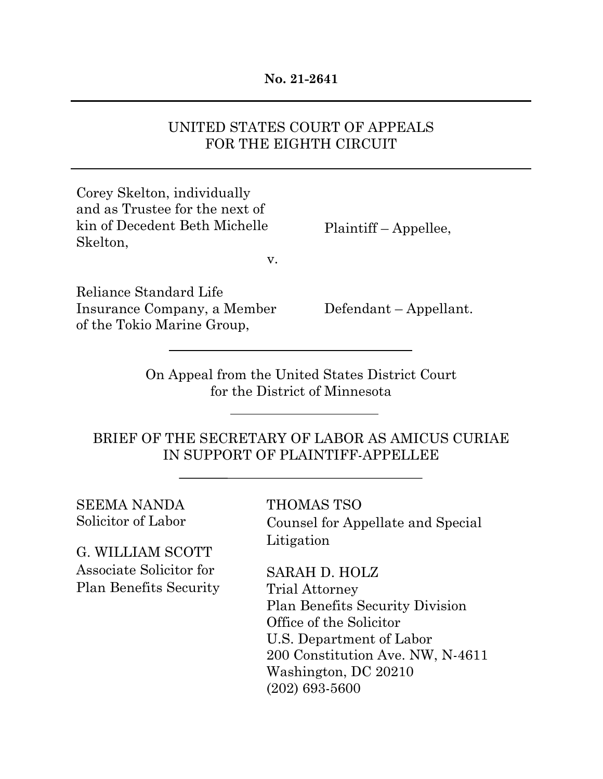#### **No. 21-2641**

## UNITED STATES COURT OF APPEALS FOR THE EIGHTH CIRCUIT

Corey Skelton, individually and as Trustee for the next of kin of Decedent Beth Michelle Skelton,

Plaintiff – Appellee,

v.

Reliance Standard Life Insurance Company, a Member of the Tokio Marine Group,

Defendant – Appellant.

On Appeal from the United States District Court for the District of Minnesota

BRIEF OF THE SECRETARY OF LABOR AS AMICUS CURIAE IN SUPPORT OF PLAINTIFF-APPELLEE

SEEMA NANDA Solicitor of Labor

G. WILLIAM SCOTT Associate Solicitor for Plan Benefits Security

THOMAS TSO Counsel for Appellate and Special Litigation

SARAH D. HOLZ Trial Attorney Plan Benefits Security Division Office of the Solicitor U.S. Department of Labor 200 Constitution Ave. NW, N-4611 Washington, DC 20210 (202) 693-5600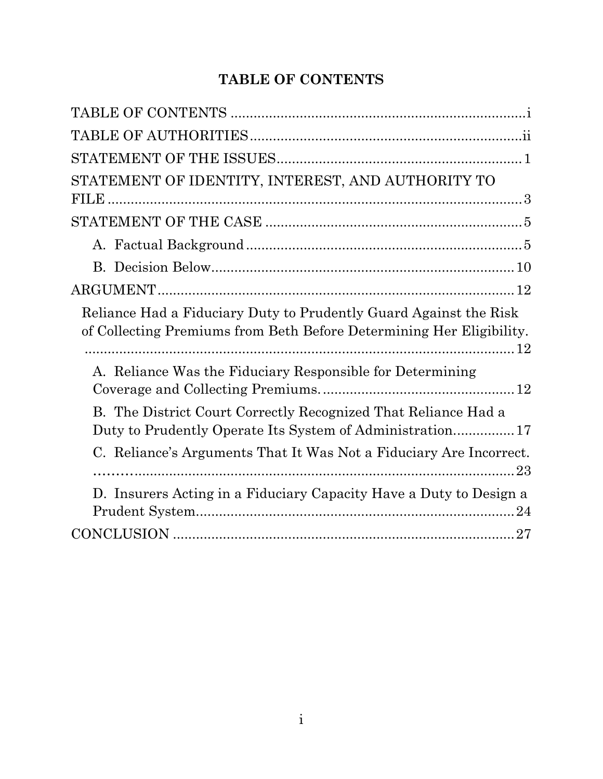# **TABLE OF CONTENTS**

| $\begin{minipage}{.4\linewidth} \textbf{STATEMENT OF THE ISSUES} \end{minipage} \begin{minipage}{.4\linewidth} \textbf{0} \end{minipage} \begin{minipage}{.4\linewidth} \textbf{0} \end{minipage} \begin{minipage}{.4\linewidth} \textbf{0} \end{minipage} \begin{minipage}{.4\linewidth} \textbf{0} \end{minipage} \begin{minipage}{.4\linewidth} \textbf{0} \end{minipage} \begin{minipage}{.4\linewidth} \textbf{0} \end{minipage} \begin{minipage}{.4\linewidth} \textbf{0} \end{minipage} \begin{minipage}{.4\linewidth} \textbf$ |
|----------------------------------------------------------------------------------------------------------------------------------------------------------------------------------------------------------------------------------------------------------------------------------------------------------------------------------------------------------------------------------------------------------------------------------------------------------------------------------------------------------------------------------------|
| STATEMENT OF IDENTITY, INTEREST, AND AUTHORITY TO                                                                                                                                                                                                                                                                                                                                                                                                                                                                                      |
|                                                                                                                                                                                                                                                                                                                                                                                                                                                                                                                                        |
|                                                                                                                                                                                                                                                                                                                                                                                                                                                                                                                                        |
|                                                                                                                                                                                                                                                                                                                                                                                                                                                                                                                                        |
|                                                                                                                                                                                                                                                                                                                                                                                                                                                                                                                                        |
| Reliance Had a Fiduciary Duty to Prudently Guard Against the Risk<br>of Collecting Premiums from Beth Before Determining Her Eligibility.                                                                                                                                                                                                                                                                                                                                                                                              |
| A. Reliance Was the Fiduciary Responsible for Determining                                                                                                                                                                                                                                                                                                                                                                                                                                                                              |
| B. The District Court Correctly Recognized That Reliance Had a<br>Duty to Prudently Operate Its System of Administration 17                                                                                                                                                                                                                                                                                                                                                                                                            |
| C. Reliance's Arguments That It Was Not a Fiduciary Are Incorrect.                                                                                                                                                                                                                                                                                                                                                                                                                                                                     |
| D. Insurers Acting in a Fiduciary Capacity Have a Duty to Design a<br>24                                                                                                                                                                                                                                                                                                                                                                                                                                                               |
|                                                                                                                                                                                                                                                                                                                                                                                                                                                                                                                                        |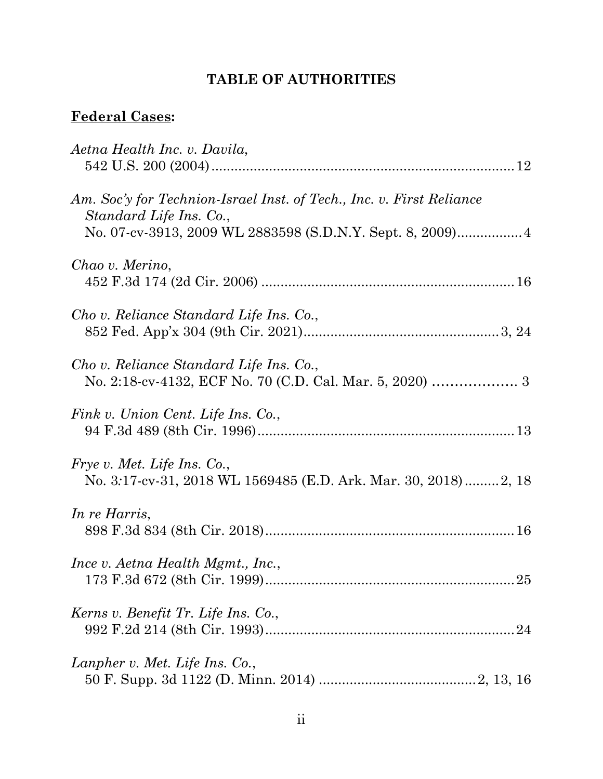# **TABLE OF AUTHORITIES**

## **Federal Cases:**

| Aetna Health Inc. v. Davila,                                                                                                                                  |
|---------------------------------------------------------------------------------------------------------------------------------------------------------------|
| Am. Soc'y for Technion-Israel Inst. of Tech., Inc. v. First Reliance<br>Standard Life Ins. Co.,<br>No. 07-cv-3913, 2009 WL 2883598 (S.D.N.Y. Sept. 8, 2009) 4 |
| Chao v. Merino,                                                                                                                                               |
| Cho v. Reliance Standard Life Ins. Co.,                                                                                                                       |
| Cho v. Reliance Standard Life Ins. Co.,                                                                                                                       |
| Fink v. Union Cent. Life Ins. Co.,                                                                                                                            |
| <i>Frye v. Met. Life Ins. Co.,</i><br>No. 3:17-cv-31, 2018 WL 1569485 (E.D. Ark. Mar. 30, 2018) 2, 18                                                         |
| In re Harris,                                                                                                                                                 |
| Ince v. Aetna Health Mgmt., Inc.,                                                                                                                             |
| Kerns v. Benefit Tr. Life Ins. Co.,                                                                                                                           |
| Lanpher v. Met. Life Ins. Co.,                                                                                                                                |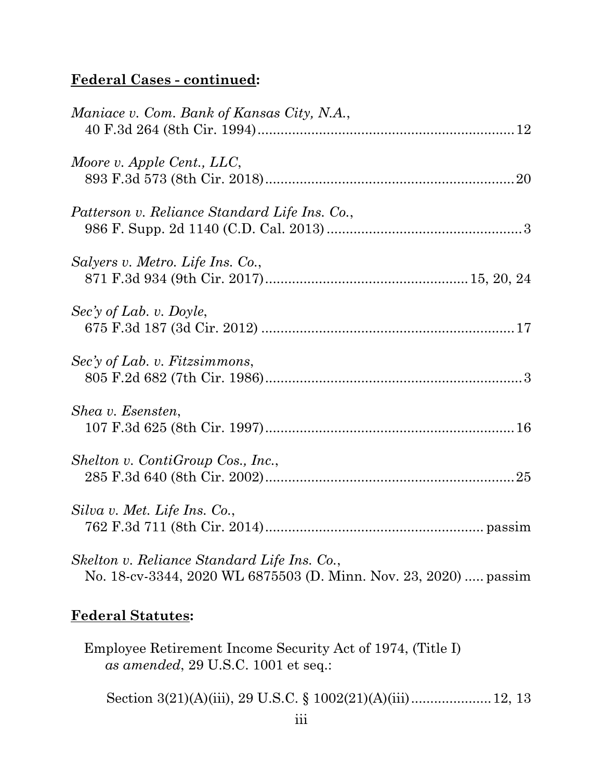# **Federal Cases - continued:**

| Maniace v. Com. Bank of Kansas City, N.A.,                                                                      |
|-----------------------------------------------------------------------------------------------------------------|
| Moore v. Apple Cent., LLC,                                                                                      |
| Patterson v. Reliance Standard Life Ins. Co.,                                                                   |
| Salyers v. Metro. Life Ins. Co.,                                                                                |
| $\text{Sec'}$ of Lab. v. Doyle,                                                                                 |
| Sec'y of Lab. v. Fitzsimmons,                                                                                   |
| Shea v. Esensten,                                                                                               |
| Shelton v. ContiGroup Cos., Inc.,                                                                               |
| Silva v. Met. Life Ins. Co.,                                                                                    |
| Skelton v. Reliance Standard Life Ins. Co.,<br>No. 18-cv-3344, 2020 WL 6875503 (D. Minn. Nov. 23, 2020)  passim |

## **Federal Statutes:**

Employee Retirement Income Security Act of 1974, (Title I) *as amended*, 29 U.S.C. 1001 et seq.:

Section 3(21)(A)(iii), 29 U.S.C. § 1002(21)(A)(iii)....................... 12, 13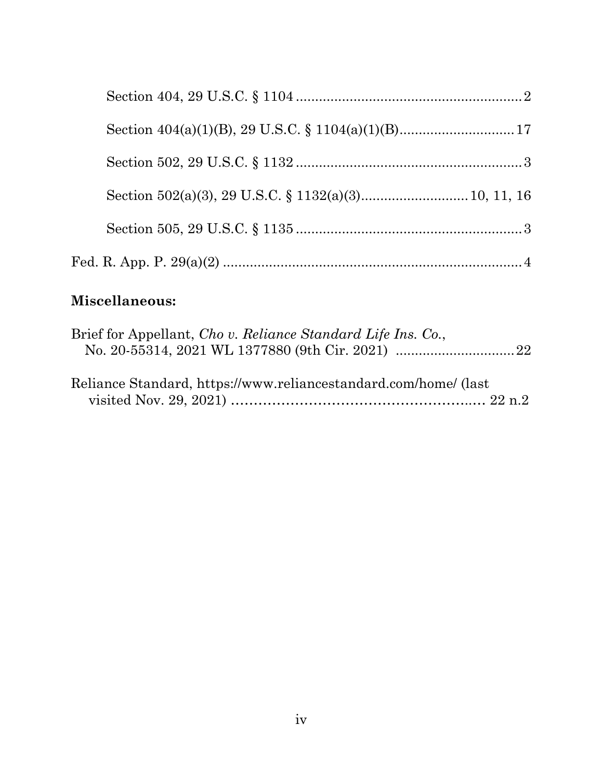# **Miscellaneous:**

| Brief for Appellant, Cho v. Reliance Standard Life Ins. Co.,     |  |
|------------------------------------------------------------------|--|
|                                                                  |  |
|                                                                  |  |
| Reliance Standard, https://www.reliancestandard.com/home/ (last) |  |
|                                                                  |  |
|                                                                  |  |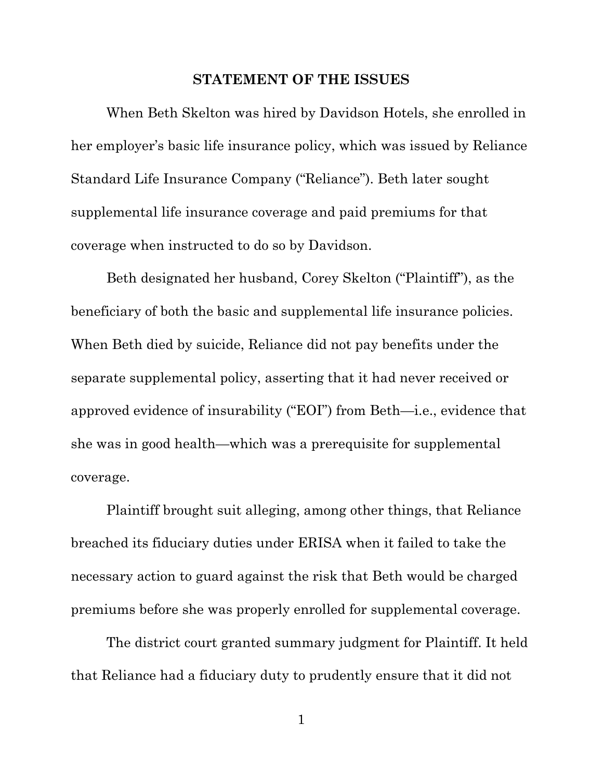#### **STATEMENT OF THE ISSUES**

When Beth Skelton was hired by Davidson Hotels, she enrolled in her employer's basic life insurance policy, which was issued by Reliance Standard Life Insurance Company ("Reliance"). Beth later sought supplemental life insurance coverage and paid premiums for that coverage when instructed to do so by Davidson.

Beth designated her husband, Corey Skelton ("Plaintiff"), as the beneficiary of both the basic and supplemental life insurance policies. When Beth died by suicide, Reliance did not pay benefits under the separate supplemental policy, asserting that it had never received or approved evidence of insurability ("EOI") from Beth—i.e., evidence that she was in good health—which was a prerequisite for supplemental coverage.

Plaintiff brought suit alleging, among other things, that Reliance breached its fiduciary duties under ERISA when it failed to take the necessary action to guard against the risk that Beth would be charged premiums before she was properly enrolled for supplemental coverage.

The district court granted summary judgment for Plaintiff. It held that Reliance had a fiduciary duty to prudently ensure that it did not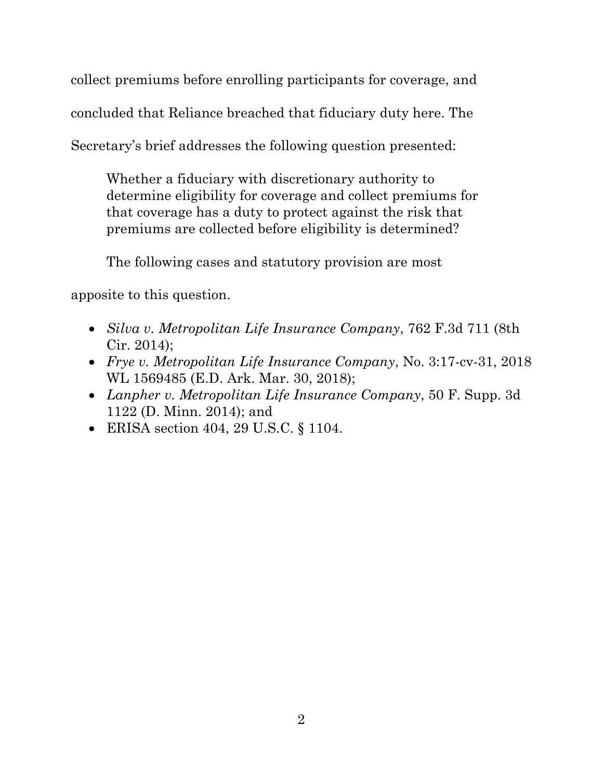collect premiums before enrolling participants for coverage, and

concluded that Reliance breached that fiduciary duty here. The

Secretary's brief addresses the following question presented:

Whether a fiduciary with discretionary authority to determine eligibility for coverage and collect premiums for that coverage has a duty to protect against the risk that premiums are collected before eligibility is determined?

The following cases and statutory provision are most

apposite to this question.

- *Silva v. Metropolitan Life Insurance Company*, 762 F.3d 711 (8th Cir. 2014);
- *Frye v. Metropolitan Life Insurance Company*, No. 3:17-cv-31, 2018 WL 1569485 (E.D. Ark. Mar. 30, 2018);
- *Lanpher v. Metropolitan Life Insurance Company*, 50 F. Supp. 3d 1122 (D. Minn. 2014); and
- ERISA section 404, 29 U.S.C. § 1104.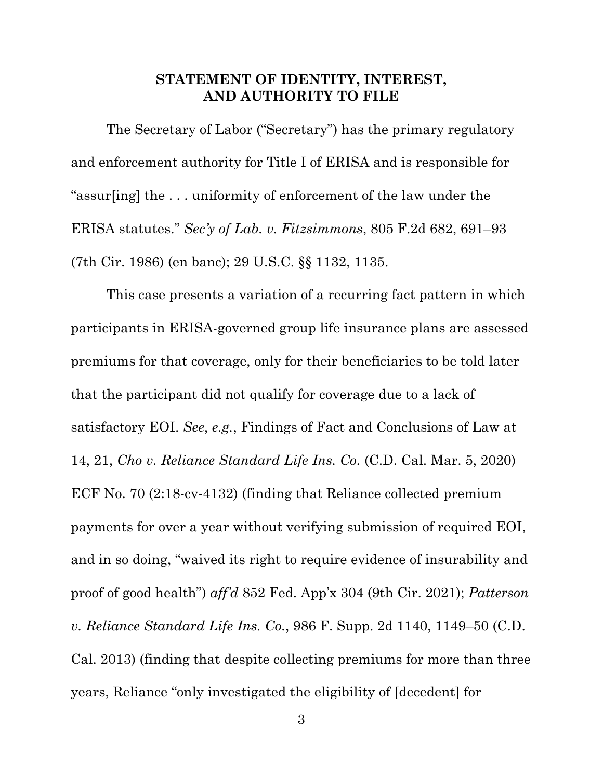## **STATEMENT OF IDENTITY, INTEREST, AND AUTHORITY TO FILE**

The Secretary of Labor ("Secretary") has the primary regulatory and enforcement authority for Title I of ERISA and is responsible for "assur[ing] the . . . uniformity of enforcement of the law under the ERISA statutes." *Sec'y of Lab. v. Fitzsimmons*, 805 F.2d 682, 691–93 (7th Cir. 1986) (en banc); 29 U.S.C. §§ 1132, 1135.

This case presents a variation of a recurring fact pattern in which participants in ERISA-governed group life insurance plans are assessed premiums for that coverage, only for their beneficiaries to be told later that the participant did not qualify for coverage due to a lack of satisfactory EOI. *See*, *e.g.*, Findings of Fact and Conclusions of Law at 14, 21, *Cho v. Reliance Standard Life Ins. Co.* (C.D. Cal. Mar. 5, 2020) ECF No. 70 (2:18-cv-4132) (finding that Reliance collected premium payments for over a year without verifying submission of required EOI, and in so doing, "waived its right to require evidence of insurability and proof of good health") *aff'd* 852 Fed. App'x 304 (9th Cir. 2021); *Patterson v. Reliance Standard Life Ins. Co.*, 986 F. Supp. 2d 1140, 1149–50 (C.D. Cal. 2013) (finding that despite collecting premiums for more than three years, Reliance "only investigated the eligibility of [decedent] for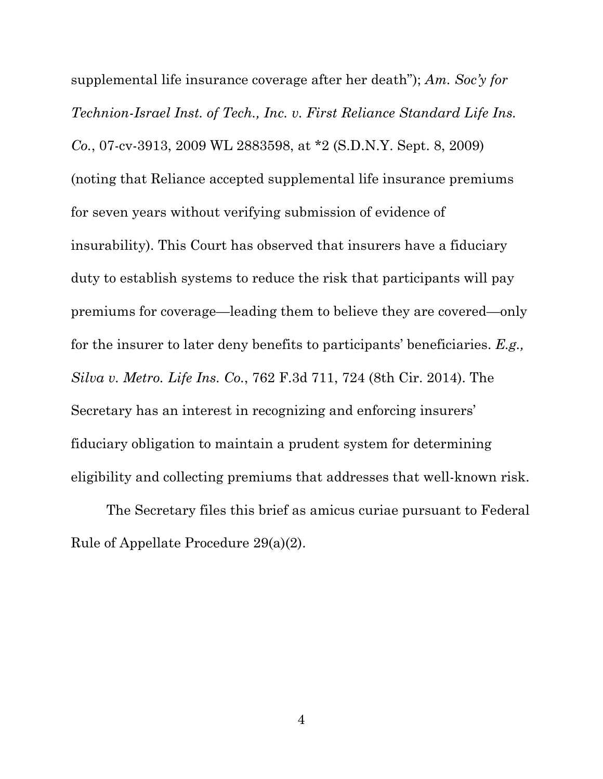supplemental life insurance coverage after her death"); *Am. Soc'y for Technion-Israel Inst. of Tech., Inc. v. First Reliance Standard Life Ins. Co.*, 07-cv-3913, 2009 WL 2883598, at \*2 (S.D.N.Y. Sept. 8, 2009) (noting that Reliance accepted supplemental life insurance premiums for seven years without verifying submission of evidence of insurability). This Court has observed that insurers have a fiduciary duty to establish systems to reduce the risk that participants will pay premiums for coverage—leading them to believe they are covered—only for the insurer to later deny benefits to participants' beneficiaries. *E.g., Silva v. Metro. Life Ins. Co.*, 762 F.3d 711, 724 (8th Cir. 2014). The Secretary has an interest in recognizing and enforcing insurers' fiduciary obligation to maintain a prudent system for determining eligibility and collecting premiums that addresses that well-known risk.

The Secretary files this brief as amicus curiae pursuant to Federal Rule of Appellate Procedure 29(a)(2).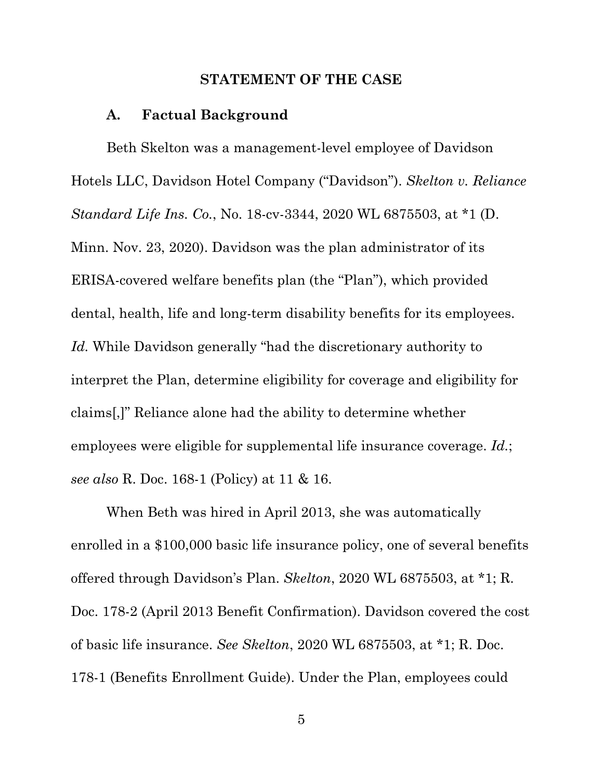#### **STATEMENT OF THE CASE**

#### **A. Factual Background**

Beth Skelton was a management-level employee of Davidson Hotels LLC, Davidson Hotel Company ("Davidson"). *Skelton v. Reliance Standard Life Ins. Co.*, No. 18-cv-3344, 2020 WL 6875503, at \*1 (D. Minn. Nov. 23, 2020). Davidson was the plan administrator of its ERISA-covered welfare benefits plan (the "Plan"), which provided dental, health, life and long-term disability benefits for its employees. *Id.* While Davidson generally "had the discretionary authority to interpret the Plan, determine eligibility for coverage and eligibility for claims[,]" Reliance alone had the ability to determine whether employees were eligible for supplemental life insurance coverage. *Id.*; *see also* R. Doc. 168-1 (Policy) at 11 & 16.

When Beth was hired in April 2013, she was automatically enrolled in a \$100,000 basic life insurance policy, one of several benefits offered through Davidson's Plan. *Skelton*, 2020 WL 6875503, at \*1; R. Doc. 178-2 (April 2013 Benefit Confirmation). Davidson covered the cost of basic life insurance. *See Skelton*, 2020 WL 6875503, at \*1; R. Doc. 178-1 (Benefits Enrollment Guide). Under the Plan, employees could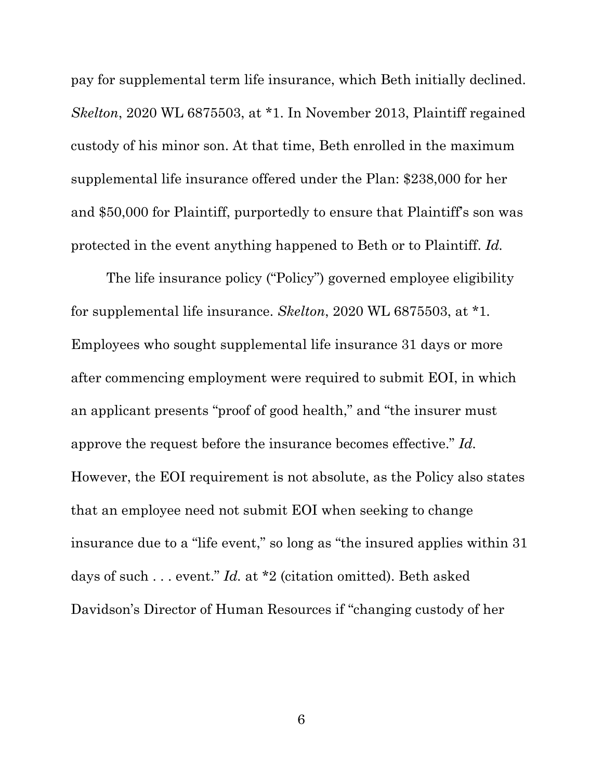pay for supplemental term life insurance, which Beth initially declined. *Skelton*, 2020 WL 6875503, at \*1. In November 2013, Plaintiff regained custody of his minor son. At that time, Beth enrolled in the maximum supplemental life insurance offered under the Plan: \$238,000 for her and \$50,000 for Plaintiff, purportedly to ensure that Plaintiff's son was protected in the event anything happened to Beth or to Plaintiff. *Id.*

The life insurance policy ("Policy") governed employee eligibility for supplemental life insurance. *Skelton*, 2020 WL 6875503, at \*1*.* Employees who sought supplemental life insurance 31 days or more after commencing employment were required to submit EOI, in which an applicant presents "proof of good health," and "the insurer must approve the request before the insurance becomes effective." *Id.* However, the EOI requirement is not absolute, as the Policy also states that an employee need not submit EOI when seeking to change insurance due to a "life event," so long as "the insured applies within 31 days of such . . . event." *Id.* at \*2 (citation omitted). Beth asked Davidson's Director of Human Resources if "changing custody of her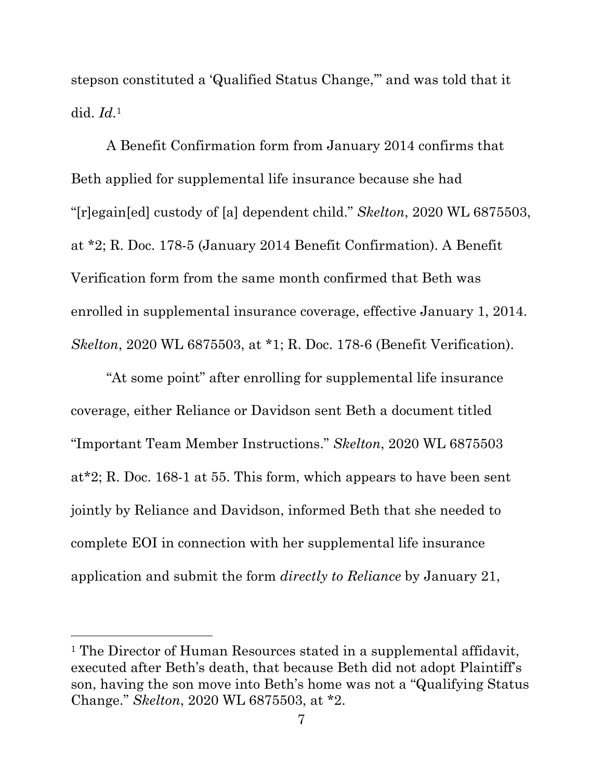stepson constituted a 'Qualified Status Change,'" and was told that it did. *Id.*1

A Benefit Confirmation form from January 2014 confirms that Beth applied for supplemental life insurance because she had "[r]egain[ed] custody of [a] dependent child." *Skelton*, 2020 WL 6875503, at \*2; R. Doc. 178-5 (January 2014 Benefit Confirmation). A Benefit Verification form from the same month confirmed that Beth was enrolled in supplemental insurance coverage, effective January 1, 2014. *Skelton*, 2020 WL 6875503, at \*1; R. Doc. 178-6 (Benefit Verification).

"At some point" after enrolling for supplemental life insurance coverage, either Reliance or Davidson sent Beth a document titled "Important Team Member Instructions." *Skelton*, 2020 WL 6875503 at\*2; R. Doc. 168-1 at 55. This form, which appears to have been sent jointly by Reliance and Davidson, informed Beth that she needed to complete EOI in connection with her supplemental life insurance application and submit the form *directly to Reliance* by January 21,

<sup>&</sup>lt;sup>1</sup> The Director of Human Resources stated in a supplemental affidavit, executed after Beth's death, that because Beth did not adopt Plaintiff's son, having the son move into Beth's home was not a "Qualifying Status Change." *Skelton*, 2020 WL 6875503, at \*2.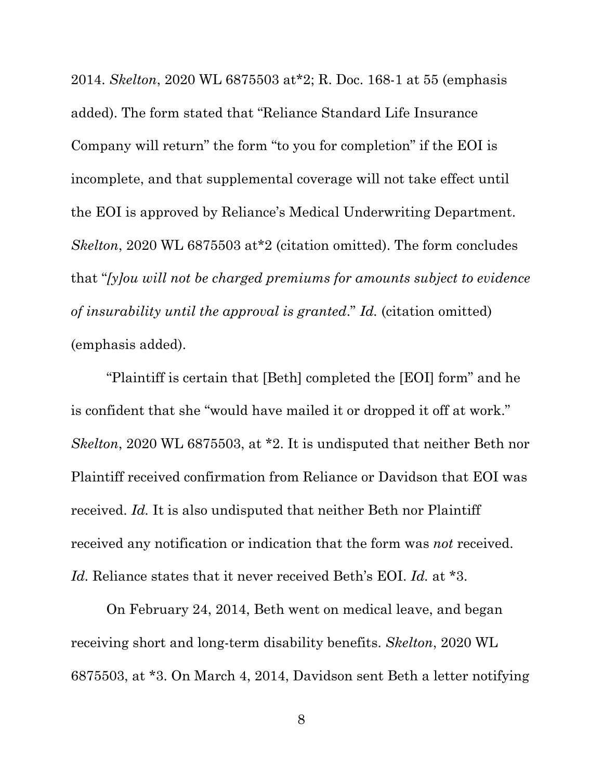2014. *Skelton*, 2020 WL 6875503 at\*2; R. Doc. 168-1 at 55 (emphasis added). The form stated that "Reliance Standard Life Insurance Company will return" the form "to you for completion" if the EOI is incomplete, and that supplemental coverage will not take effect until the EOI is approved by Reliance's Medical Underwriting Department. *Skelton*, 2020 WL 6875503 at\*2 (citation omitted). The form concludes that "*[y]ou will not be charged premiums for amounts subject to evidence of insurability until the approval is granted*." *Id.* (citation omitted) (emphasis added).

"Plaintiff is certain that [Beth] completed the [EOI] form" and he is confident that she "would have mailed it or dropped it off at work." *Skelton*, 2020 WL 6875503, at \*2. It is undisputed that neither Beth nor Plaintiff received confirmation from Reliance or Davidson that EOI was received. *Id.* It is also undisputed that neither Beth nor Plaintiff received any notification or indication that the form was *not* received. *Id.* Reliance states that it never received Beth's EOI. *Id.* at \*3.

On February 24, 2014, Beth went on medical leave, and began receiving short and long-term disability benefits. *Skelton*, 2020 WL 6875503, at \*3. On March 4, 2014, Davidson sent Beth a letter notifying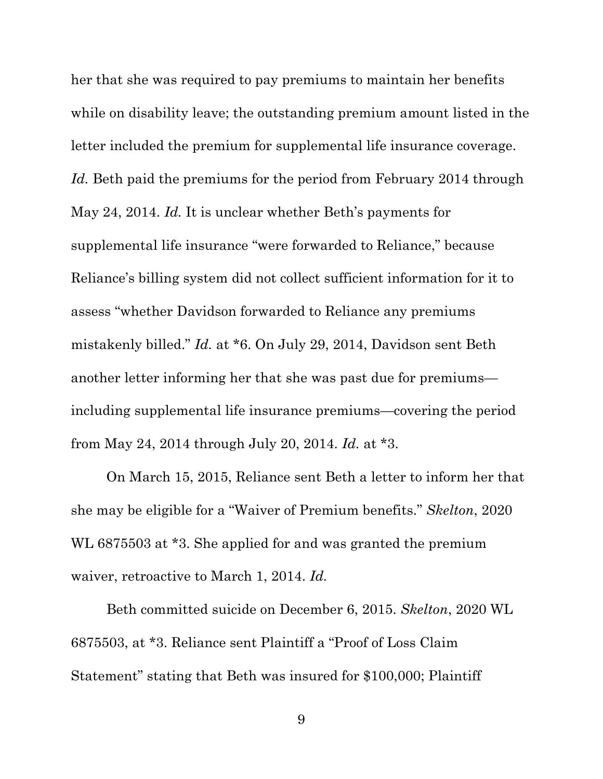her that she was required to pay premiums to maintain her benefits while on disability leave; the outstanding premium amount listed in the letter included the premium for supplemental life insurance coverage. *Id.* Beth paid the premiums for the period from February 2014 through May 24, 2014. *Id.* It is unclear whether Beth's payments for supplemental life insurance "were forwarded to Reliance," because Reliance's billing system did not collect sufficient information for it to assess "whether Davidson forwarded to Reliance any premiums mistakenly billed." *Id.* at \*6. On July 29, 2014, Davidson sent Beth another letter informing her that she was past due for premiums including supplemental life insurance premiums—covering the period from May 24, 2014 through July 20, 2014. *Id.* at \*3.

On March 15, 2015, Reliance sent Beth a letter to inform her that she may be eligible for a "Waiver of Premium benefits." *Skelton*, 2020 WL 6875503 at \*3. She applied for and was granted the premium waiver, retroactive to March 1, 2014. *Id.*

Beth committed suicide on December 6, 2015. *Skelton*, 2020 WL 6875503, at \*3. Reliance sent Plaintiff a "Proof of Loss Claim Statement" stating that Beth was insured for \$100,000; Plaintiff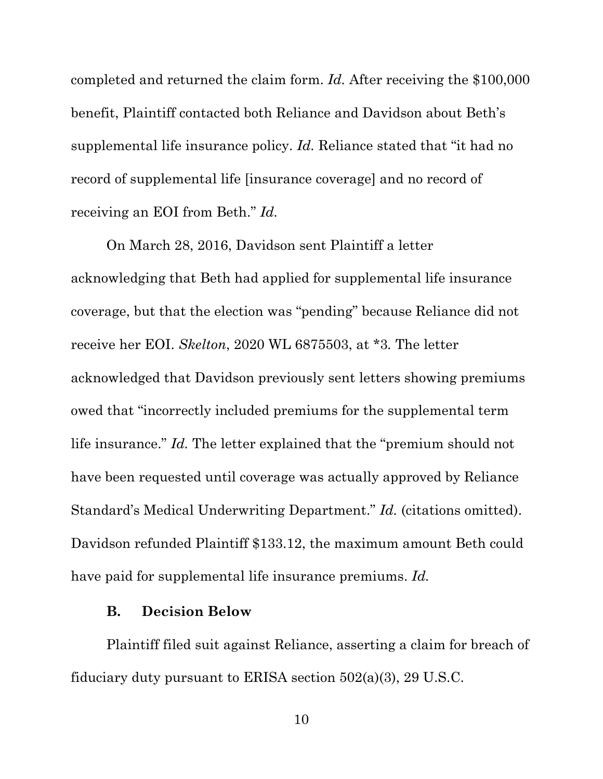completed and returned the claim form. *Id.* After receiving the \$100,000 benefit, Plaintiff contacted both Reliance and Davidson about Beth's supplemental life insurance policy. *Id.* Reliance stated that "it had no record of supplemental life [insurance coverage] and no record of receiving an EOI from Beth." *Id.*

On March 28, 2016, Davidson sent Plaintiff a letter acknowledging that Beth had applied for supplemental life insurance coverage, but that the election was "pending" because Reliance did not receive her EOI. *Skelton*, 2020 WL 6875503, at \*3*.* The letter acknowledged that Davidson previously sent letters showing premiums owed that "incorrectly included premiums for the supplemental term life insurance." *Id.* The letter explained that the "premium should not have been requested until coverage was actually approved by Reliance Standard's Medical Underwriting Department." *Id.* (citations omitted). Davidson refunded Plaintiff \$133.12, the maximum amount Beth could have paid for supplemental life insurance premiums. *Id.*

#### **B. Decision Below**

Plaintiff filed suit against Reliance, asserting a claim for breach of fiduciary duty pursuant to ERISA section 502(a)(3), 29 U.S.C.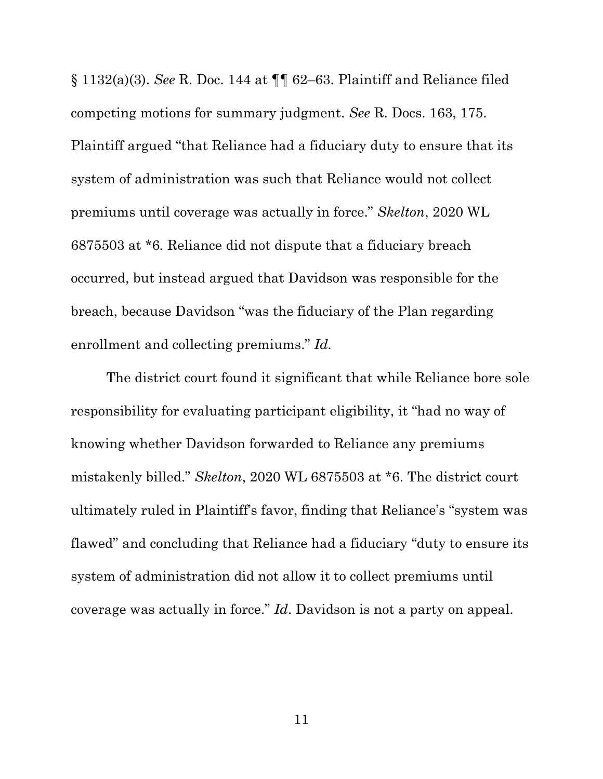§ 1132(a)(3). *See* R. Doc. 144 at ¶¶ 62–63. Plaintiff and Reliance filed competing motions for summary judgment. *See* R. Docs. 163, 175. Plaintiff argued "that Reliance had a fiduciary duty to ensure that its system of administration was such that Reliance would not collect premiums until coverage was actually in force." *Skelton*, 2020 WL 6875503 at \*6*.* Reliance did not dispute that a fiduciary breach occurred, but instead argued that Davidson was responsible for the breach, because Davidson "was the fiduciary of the Plan regarding enrollment and collecting premiums." *Id.*

The district court found it significant that while Reliance bore sole responsibility for evaluating participant eligibility, it "had no way of knowing whether Davidson forwarded to Reliance any premiums mistakenly billed." *Skelton*, 2020 WL 6875503 at \*6. The district court ultimately ruled in Plaintiff's favor, finding that Reliance's "system was flawed" and concluding that Reliance had a fiduciary "duty to ensure its system of administration did not allow it to collect premiums until coverage was actually in force." *Id*. Davidson is not a party on appeal.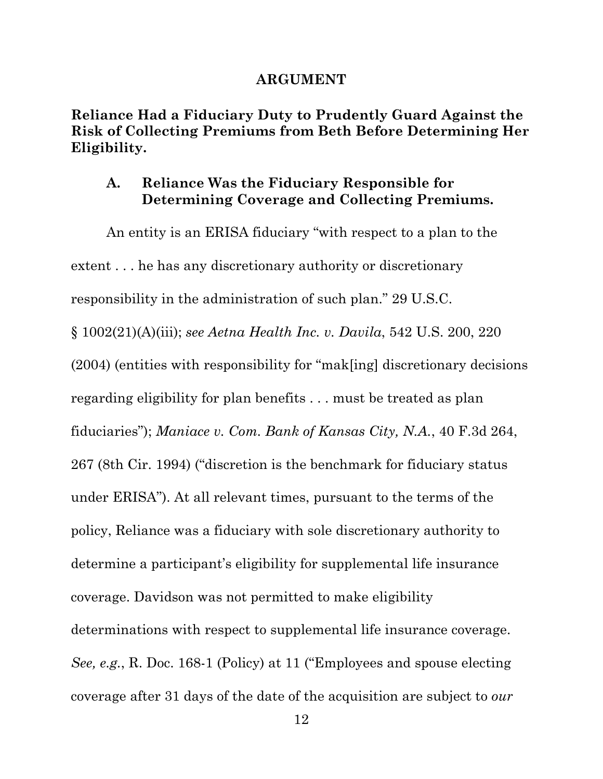#### **ARGUMENT**

**Reliance Had a Fiduciary Duty to Prudently Guard Against the Risk of Collecting Premiums from Beth Before Determining Her Eligibility.** 

## **A. Reliance Was the Fiduciary Responsible for Determining Coverage and Collecting Premiums.**

An entity is an ERISA fiduciary "with respect to a plan to the extent . . . he has any discretionary authority or discretionary responsibility in the administration of such plan." 29 U.S.C. § 1002(21)(A)(iii); *see Aetna Health Inc. v. Davila*, 542 U.S. 200, 220 (2004) (entities with responsibility for "mak[ing] discretionary decisions regarding eligibility for plan benefits . . . must be treated as plan fiduciaries"); *Maniace v. Com. Bank of Kansas City, N.A.*, 40 F.3d 264, 267 (8th Cir. 1994) ("discretion is the benchmark for fiduciary status under ERISA"). At all relevant times, pursuant to the terms of the policy, Reliance was a fiduciary with sole discretionary authority to determine a participant's eligibility for supplemental life insurance coverage. Davidson was not permitted to make eligibility determinations with respect to supplemental life insurance coverage. *See, e.g.*, R. Doc. 168-1 (Policy) at 11 ("Employees and spouse electing coverage after 31 days of the date of the acquisition are subject to *our*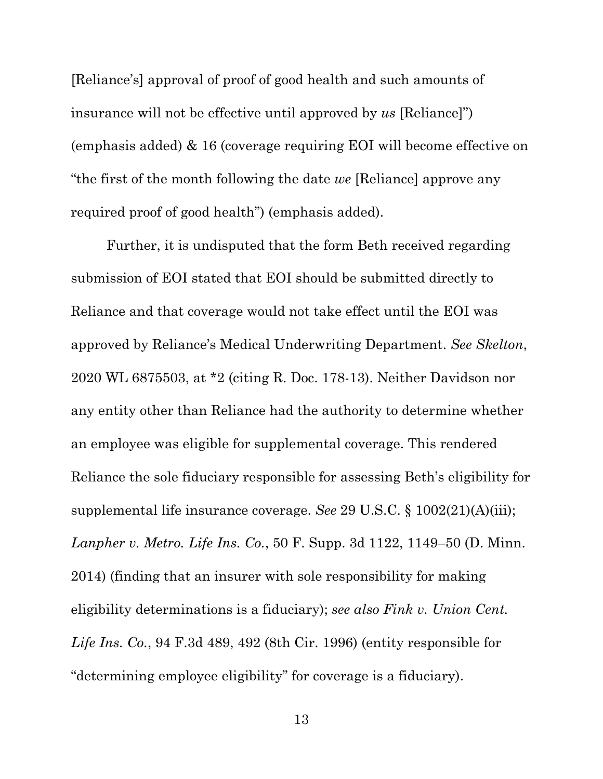[Reliance's] approval of proof of good health and such amounts of insurance will not be effective until approved by *us* [Reliance]") (emphasis added) & 16 (coverage requiring EOI will become effective on "the first of the month following the date *we* [Reliance] approve any required proof of good health") (emphasis added).

Further, it is undisputed that the form Beth received regarding submission of EOI stated that EOI should be submitted directly to Reliance and that coverage would not take effect until the EOI was approved by Reliance's Medical Underwriting Department. *See Skelton*, 2020 WL 6875503, at \*2 (citing R. Doc. 178-13). Neither Davidson nor any entity other than Reliance had the authority to determine whether an employee was eligible for supplemental coverage. This rendered Reliance the sole fiduciary responsible for assessing Beth's eligibility for supplemental life insurance coverage. *See* 29 U.S.C. § 1002(21)(A)(iii); *Lanpher v. Metro. Life Ins. Co.*, 50 F. Supp. 3d 1122, 1149–50 (D. Minn. 2014) (finding that an insurer with sole responsibility for making eligibility determinations is a fiduciary); *see also Fink v. Union Cent. Life Ins. Co.*, 94 F.3d 489, 492 (8th Cir. 1996) (entity responsible for "determining employee eligibility" for coverage is a fiduciary).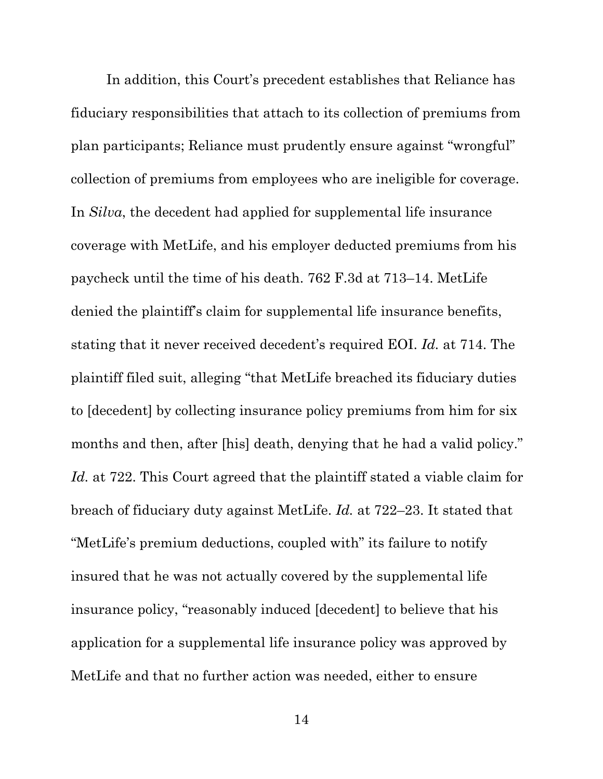In addition, this Court's precedent establishes that Reliance has fiduciary responsibilities that attach to its collection of premiums from plan participants; Reliance must prudently ensure against "wrongful" collection of premiums from employees who are ineligible for coverage. In *Silva*, the decedent had applied for supplemental life insurance coverage with MetLife, and his employer deducted premiums from his paycheck until the time of his death. 762 F.3d at 713–14. MetLife denied the plaintiff's claim for supplemental life insurance benefits, stating that it never received decedent's required EOI. *Id.* at 714. The plaintiff filed suit, alleging "that MetLife breached its fiduciary duties to [decedent] by collecting insurance policy premiums from him for six months and then, after [his] death, denying that he had a valid policy." *Id.* at 722. This Court agreed that the plaintiff stated a viable claim for breach of fiduciary duty against MetLife. *Id.* at 722–23. It stated that "MetLife's premium deductions, coupled with" its failure to notify insured that he was not actually covered by the supplemental life insurance policy, "reasonably induced [decedent] to believe that his application for a supplemental life insurance policy was approved by MetLife and that no further action was needed, either to ensure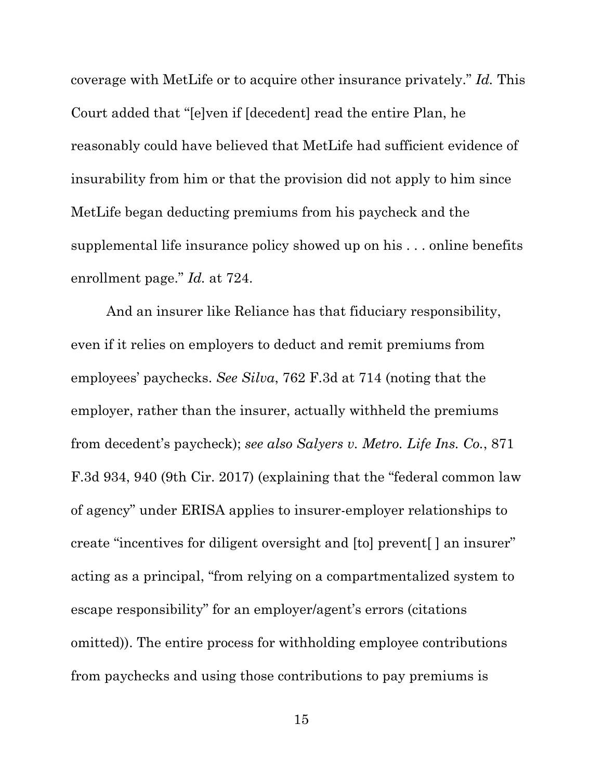coverage with MetLife or to acquire other insurance privately." *Id.* This Court added that "[e]ven if [decedent] read the entire Plan, he reasonably could have believed that MetLife had sufficient evidence of insurability from him or that the provision did not apply to him since MetLife began deducting premiums from his paycheck and the supplemental life insurance policy showed up on his . . . online benefits enrollment page." *Id.* at 724.

And an insurer like Reliance has that fiduciary responsibility, even if it relies on employers to deduct and remit premiums from employees' paychecks. *See Silva*, 762 F.3d at 714 (noting that the employer, rather than the insurer, actually withheld the premiums from decedent's paycheck); *see also Salyers v. Metro. Life Ins. Co.*, 871 F.3d 934, 940 (9th Cir. 2017) (explaining that the "federal common law of agency" under ERISA applies to insurer-employer relationships to create "incentives for diligent oversight and [to] prevent[ ] an insurer" acting as a principal, "from relying on a compartmentalized system to escape responsibility" for an employer/agent's errors (citations omitted)). The entire process for withholding employee contributions from paychecks and using those contributions to pay premiums is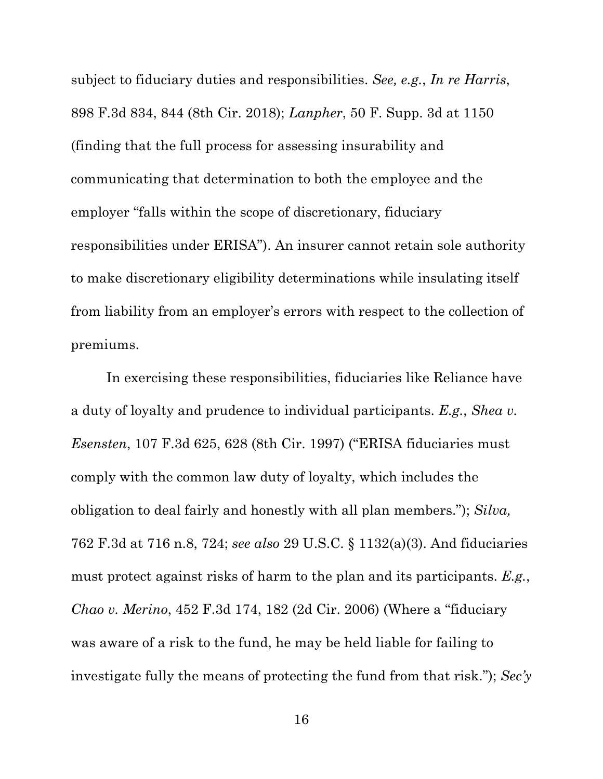subject to fiduciary duties and responsibilities. *See, e.g.*, *In re Harris*, 898 F.3d 834, 844 (8th Cir. 2018); *Lanpher*, 50 F. Supp. 3d at 1150 (finding that the full process for assessing insurability and communicating that determination to both the employee and the employer "falls within the scope of discretionary, fiduciary responsibilities under ERISA"). An insurer cannot retain sole authority to make discretionary eligibility determinations while insulating itself from liability from an employer's errors with respect to the collection of premiums.

In exercising these responsibilities, fiduciaries like Reliance have a duty of loyalty and prudence to individual participants. *E.g.*, *Shea v. Esensten*, 107 F.3d 625, 628 (8th Cir. 1997) ("ERISA fiduciaries must comply with the common law duty of loyalty, which includes the obligation to deal fairly and honestly with all plan members."); *Silva,*  762 F.3d at 716 n.8, 724; *see also* 29 U.S.C. § 1132(a)(3). And fiduciaries must protect against risks of harm to the plan and its participants. *E.g.*, *Chao v. Merino*, 452 F.3d 174, 182 (2d Cir. 2006) (Where a "fiduciary was aware of a risk to the fund, he may be held liable for failing to investigate fully the means of protecting the fund from that risk."); *Sec'y*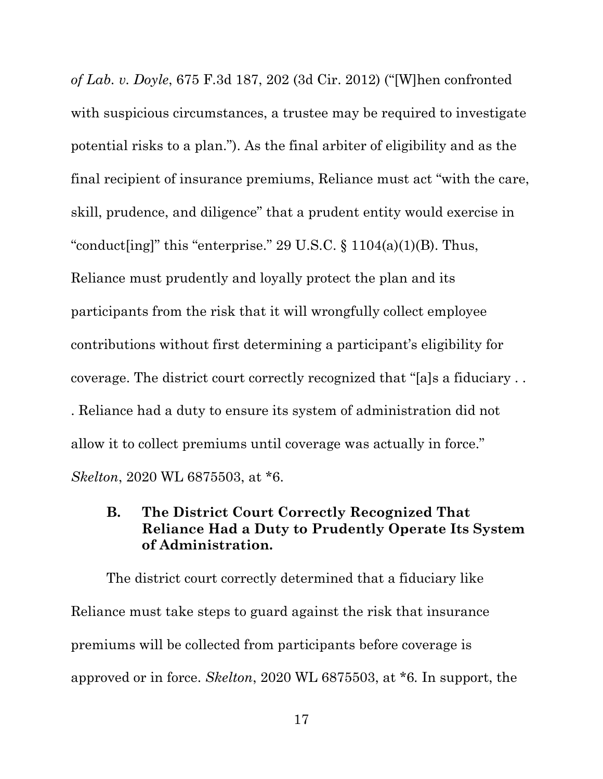*of Lab. v. Doyle*, 675 F.3d 187, 202 (3d Cir. 2012) ("[W]hen confronted with suspicious circumstances, a trustee may be required to investigate potential risks to a plan."). As the final arbiter of eligibility and as the final recipient of insurance premiums, Reliance must act "with the care, skill, prudence, and diligence" that a prudent entity would exercise in "conduct[ing]" this "enterprise." 29 U.S.C.  $\S$  1104(a)(1)(B). Thus, Reliance must prudently and loyally protect the plan and its participants from the risk that it will wrongfully collect employee contributions without first determining a participant's eligibility for coverage. The district court correctly recognized that "[a]s a fiduciary . . . Reliance had a duty to ensure its system of administration did not allow it to collect premiums until coverage was actually in force." *Skelton*, 2020 WL 6875503, at \*6.

## **B. The District Court Correctly Recognized That Reliance Had a Duty to Prudently Operate Its System of Administration.**

 The district court correctly determined that a fiduciary like Reliance must take steps to guard against the risk that insurance premiums will be collected from participants before coverage is approved or in force. *Skelton*, 2020 WL 6875503, at \*6*.* In support, the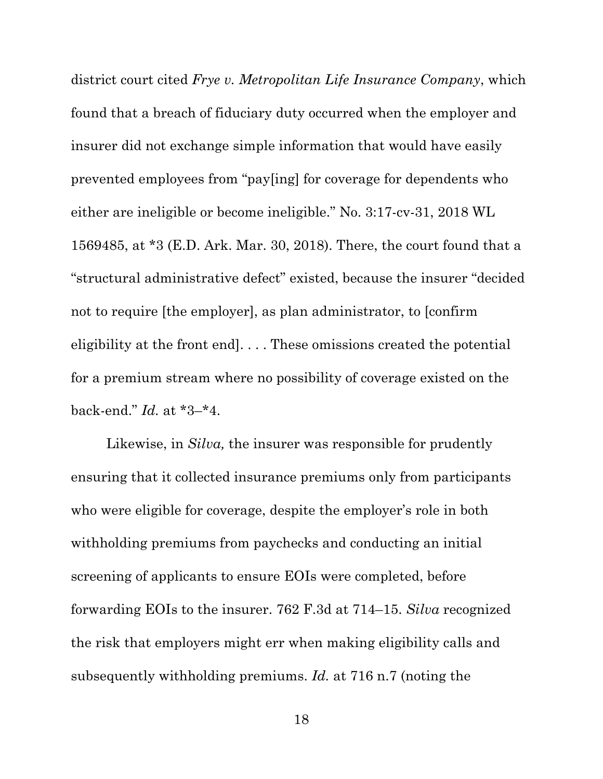district court cited *Frye v. Metropolitan Life Insurance Company*, which found that a breach of fiduciary duty occurred when the employer and insurer did not exchange simple information that would have easily prevented employees from "pay[ing] for coverage for dependents who either are ineligible or become ineligible." No. 3:17-cv-31, 2018 WL 1569485, at \*3 (E.D. Ark. Mar. 30, 2018). There, the court found that a "structural administrative defect" existed, because the insurer "decided not to require [the employer], as plan administrator, to [confirm eligibility at the front end]. . . . These omissions created the potential for a premium stream where no possibility of coverage existed on the back-end." *Id.* at \*3–\*4.

 Likewise, in *Silva,* the insurer was responsible for prudently ensuring that it collected insurance premiums only from participants who were eligible for coverage, despite the employer's role in both withholding premiums from paychecks and conducting an initial screening of applicants to ensure EOIs were completed, before forwarding EOIs to the insurer. 762 F.3d at 714–15. *Silva* recognized the risk that employers might err when making eligibility calls and subsequently withholding premiums. *Id.* at 716 n.7 (noting the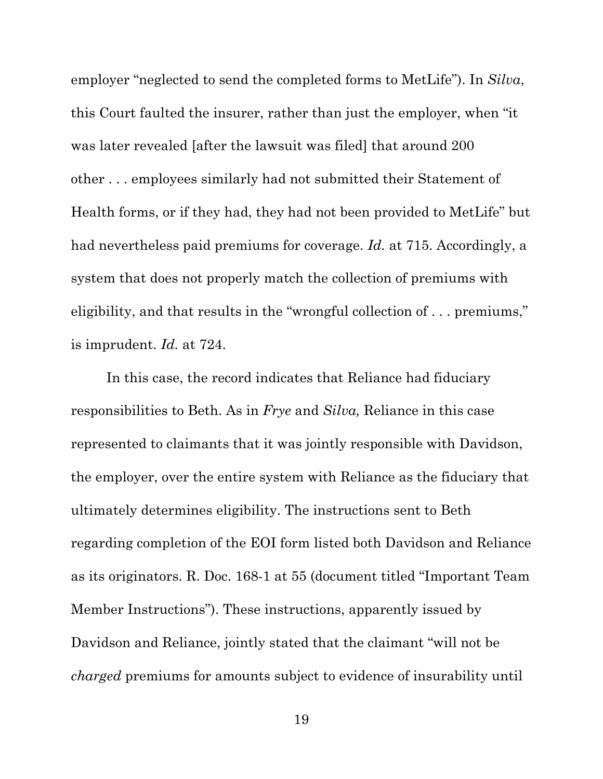employer "neglected to send the completed forms to MetLife"). In *Silva*, this Court faulted the insurer, rather than just the employer, when "it was later revealed [after the lawsuit was filed] that around 200 other . . . employees similarly had not submitted their Statement of Health forms, or if they had, they had not been provided to MetLife" but had nevertheless paid premiums for coverage. *Id.* at 715. Accordingly, a system that does not properly match the collection of premiums with eligibility, and that results in the "wrongful collection of . . . premiums," is imprudent. *Id.* at 724.

In this case, the record indicates that Reliance had fiduciary responsibilities to Beth. As in *Frye* and *Silva,* Reliance in this case represented to claimants that it was jointly responsible with Davidson, the employer, over the entire system with Reliance as the fiduciary that ultimately determines eligibility. The instructions sent to Beth regarding completion of the EOI form listed both Davidson and Reliance as its originators. R. Doc. 168-1 at 55 (document titled "Important Team Member Instructions"). These instructions, apparently issued by Davidson and Reliance, jointly stated that the claimant "will not be *charged* premiums for amounts subject to evidence of insurability until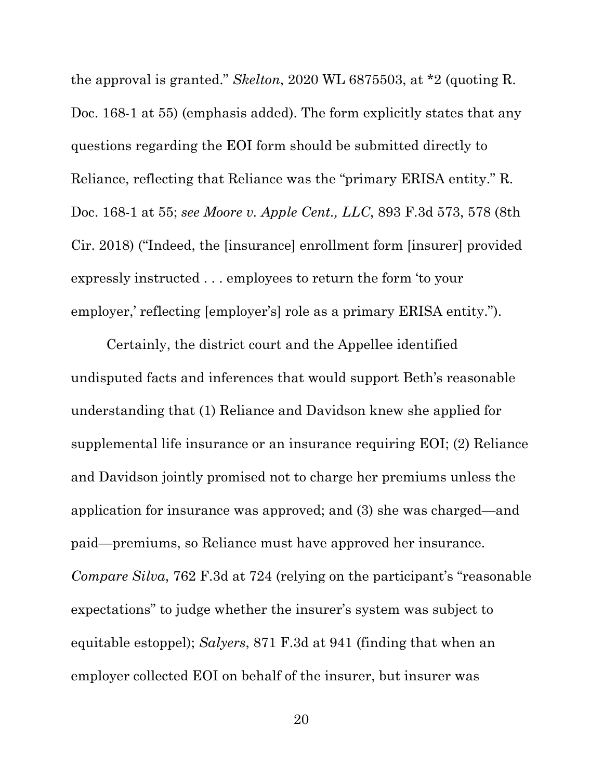the approval is granted." *Skelton*, 2020 WL 6875503, at \*2 (quoting R. Doc. 168-1 at 55) (emphasis added). The form explicitly states that any questions regarding the EOI form should be submitted directly to Reliance, reflecting that Reliance was the "primary ERISA entity." R. Doc. 168-1 at 55; *see Moore v. Apple Cent., LLC*, 893 F.3d 573, 578 (8th Cir. 2018) ("Indeed, the [insurance] enrollment form [insurer] provided expressly instructed . . . employees to return the form 'to your employer,' reflecting [employer's] role as a primary ERISA entity.").

Certainly, the district court and the Appellee identified undisputed facts and inferences that would support Beth's reasonable understanding that (1) Reliance and Davidson knew she applied for supplemental life insurance or an insurance requiring EOI; (2) Reliance and Davidson jointly promised not to charge her premiums unless the application for insurance was approved; and (3) she was charged—and paid—premiums, so Reliance must have approved her insurance. *Compare Silva*, 762 F.3d at 724 (relying on the participant's "reasonable expectations" to judge whether the insurer's system was subject to equitable estoppel); *Salyers*, 871 F.3d at 941 (finding that when an employer collected EOI on behalf of the insurer, but insurer was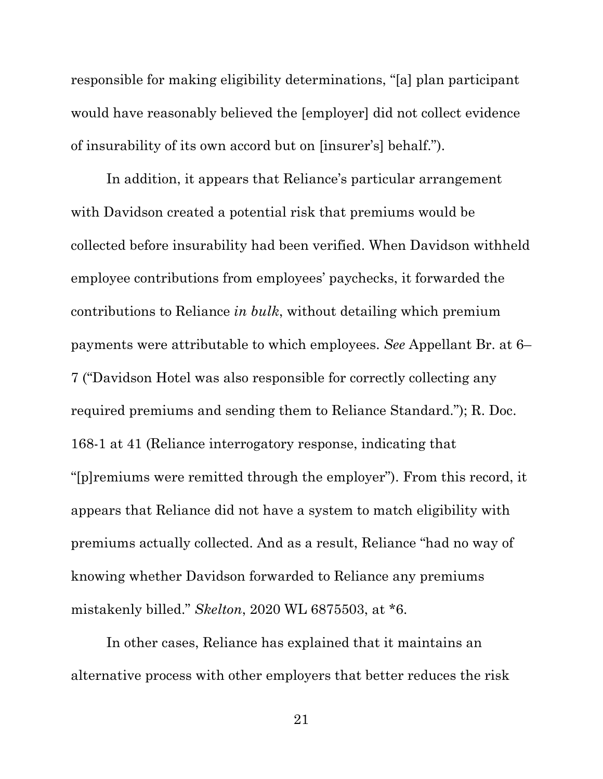responsible for making eligibility determinations, "[a] plan participant would have reasonably believed the [employer] did not collect evidence of insurability of its own accord but on [insurer's] behalf.").

In addition, it appears that Reliance's particular arrangement with Davidson created a potential risk that premiums would be collected before insurability had been verified. When Davidson withheld employee contributions from employees' paychecks, it forwarded the contributions to Reliance *in bulk*, without detailing which premium payments were attributable to which employees. *See* Appellant Br. at 6– 7 ("Davidson Hotel was also responsible for correctly collecting any required premiums and sending them to Reliance Standard."); R. Doc. 168-1 at 41 (Reliance interrogatory response, indicating that "[p]remiums were remitted through the employer"). From this record, it appears that Reliance did not have a system to match eligibility with premiums actually collected. And as a result, Reliance "had no way of knowing whether Davidson forwarded to Reliance any premiums mistakenly billed." *Skelton*, 2020 WL 6875503, at \*6.

In other cases, Reliance has explained that it maintains an alternative process with other employers that better reduces the risk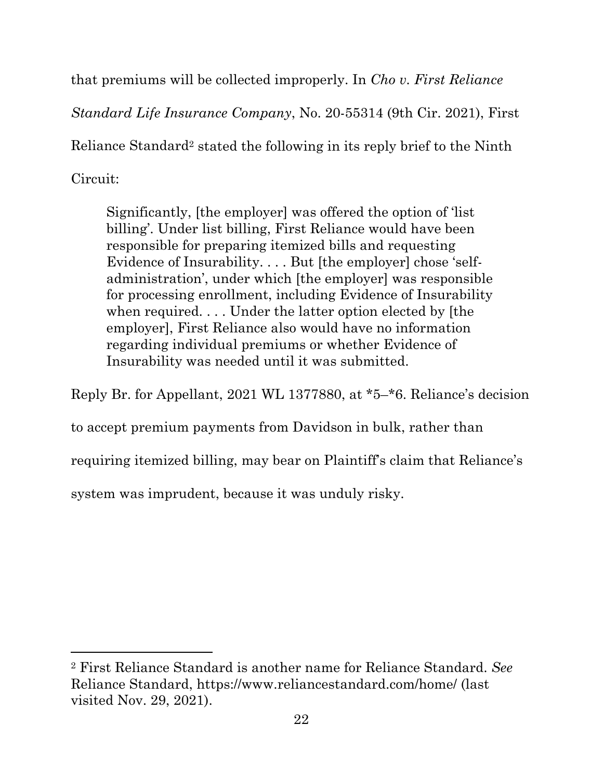that premiums will be collected improperly. In *Cho v. First Reliance* 

*Standard Life Insurance Company*, No. 20-55314 (9th Cir. 2021), First

Reliance Standard2 stated the following in its reply brief to the Ninth

Circuit:

 $\overline{a}$ 

Significantly, [the employer] was offered the option of 'list billing'. Under list billing, First Reliance would have been responsible for preparing itemized bills and requesting Evidence of Insurability. . . . But [the employer] chose 'selfadministration', under which [the employer] was responsible for processing enrollment, including Evidence of Insurability when required. . . . Under the latter option elected by [the employer], First Reliance also would have no information regarding individual premiums or whether Evidence of Insurability was needed until it was submitted.

Reply Br. for Appellant, 2021 WL 1377880, at \*5–\*6. Reliance's decision

to accept premium payments from Davidson in bulk, rather than

requiring itemized billing, may bear on Plaintiff's claim that Reliance's

system was imprudent, because it was unduly risky.

<sup>2</sup> First Reliance Standard is another name for Reliance Standard. *See* Reliance Standard, https://www.reliancestandard.com/home/ (last visited Nov. 29, 2021).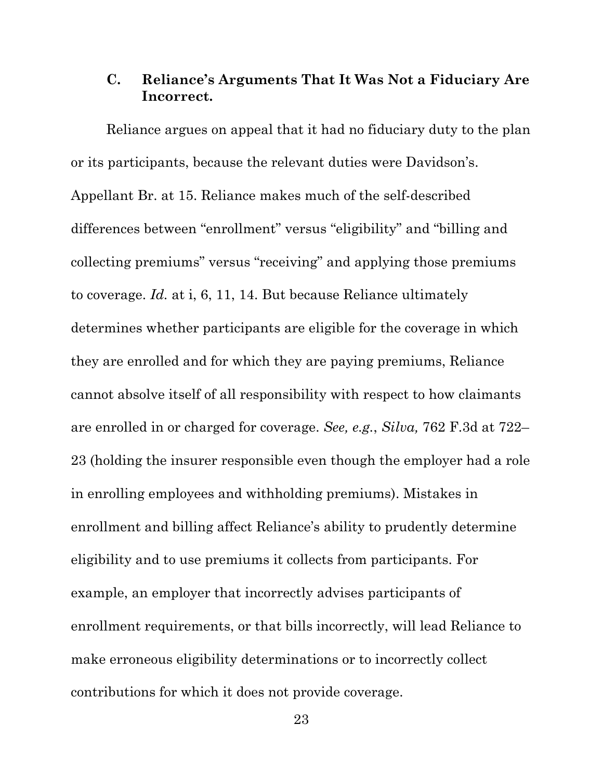## **C. Reliance's Arguments That It Was Not a Fiduciary Are Incorrect.**

Reliance argues on appeal that it had no fiduciary duty to the plan or its participants, because the relevant duties were Davidson's. Appellant Br. at 15. Reliance makes much of the self-described differences between "enrollment" versus "eligibility" and "billing and collecting premiums" versus "receiving" and applying those premiums to coverage. *Id.* at i, 6, 11, 14. But because Reliance ultimately determines whether participants are eligible for the coverage in which they are enrolled and for which they are paying premiums, Reliance cannot absolve itself of all responsibility with respect to how claimants are enrolled in or charged for coverage. *See, e.g.*, *Silva,* 762 F.3d at 722– 23 (holding the insurer responsible even though the employer had a role in enrolling employees and withholding premiums). Mistakes in enrollment and billing affect Reliance's ability to prudently determine eligibility and to use premiums it collects from participants. For example, an employer that incorrectly advises participants of enrollment requirements, or that bills incorrectly, will lead Reliance to make erroneous eligibility determinations or to incorrectly collect contributions for which it does not provide coverage.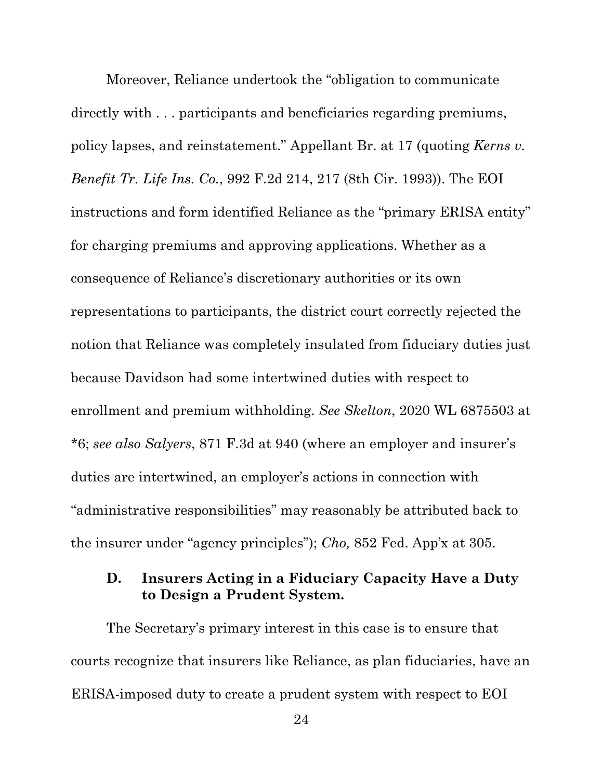Moreover, Reliance undertook the "obligation to communicate directly with . . . participants and beneficiaries regarding premiums, policy lapses, and reinstatement." Appellant Br. at 17 (quoting *Kerns v. Benefit Tr. Life Ins. Co.*, 992 F.2d 214, 217 (8th Cir. 1993)). The EOI instructions and form identified Reliance as the "primary ERISA entity" for charging premiums and approving applications. Whether as a consequence of Reliance's discretionary authorities or its own representations to participants, the district court correctly rejected the notion that Reliance was completely insulated from fiduciary duties just because Davidson had some intertwined duties with respect to enrollment and premium withholding. *See Skelton*, 2020 WL 6875503 at \*6; *see also Salyers*, 871 F.3d at 940 (where an employer and insurer's duties are intertwined, an employer's actions in connection with "administrative responsibilities" may reasonably be attributed back to the insurer under "agency principles"); *Cho,* 852 Fed. App'x at 305.

## **D. Insurers Acting in a Fiduciary Capacity Have a Duty to Design a Prudent System.**

The Secretary's primary interest in this case is to ensure that courts recognize that insurers like Reliance, as plan fiduciaries, have an ERISA-imposed duty to create a prudent system with respect to EOI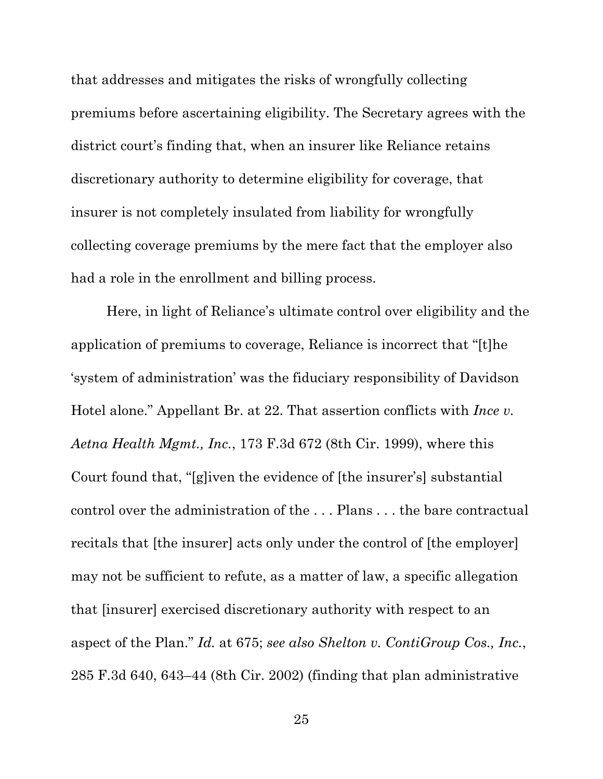that addresses and mitigates the risks of wrongfully collecting premiums before ascertaining eligibility. The Secretary agrees with the district court's finding that, when an insurer like Reliance retains discretionary authority to determine eligibility for coverage, that insurer is not completely insulated from liability for wrongfully collecting coverage premiums by the mere fact that the employer also had a role in the enrollment and billing process.

Here, in light of Reliance's ultimate control over eligibility and the application of premiums to coverage, Reliance is incorrect that "[t]he 'system of administration' was the fiduciary responsibility of Davidson Hotel alone." Appellant Br. at 22. That assertion conflicts with *Ince v. Aetna Health Mgmt., Inc.*, 173 F.3d 672 (8th Cir. 1999), where this Court found that, "[g]iven the evidence of [the insurer's] substantial control over the administration of the . . . Plans . . . the bare contractual recitals that [the insurer] acts only under the control of [the employer] may not be sufficient to refute, as a matter of law, a specific allegation that [insurer] exercised discretionary authority with respect to an aspect of the Plan." *Id.* at 675; *see also Shelton v. ContiGroup Cos., Inc.*, 285 F.3d 640, 643–44 (8th Cir. 2002) (finding that plan administrative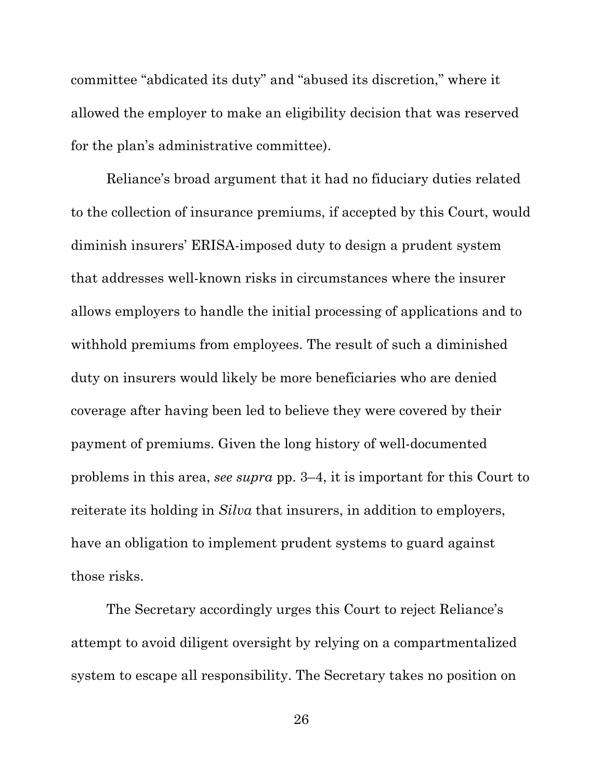committee "abdicated its duty" and "abused its discretion," where it allowed the employer to make an eligibility decision that was reserved for the plan's administrative committee).

Reliance's broad argument that it had no fiduciary duties related to the collection of insurance premiums, if accepted by this Court, would diminish insurers' ERISA-imposed duty to design a prudent system that addresses well-known risks in circumstances where the insurer allows employers to handle the initial processing of applications and to withhold premiums from employees. The result of such a diminished duty on insurers would likely be more beneficiaries who are denied coverage after having been led to believe they were covered by their payment of premiums. Given the long history of well-documented problems in this area, *see supra* pp. 3–4, it is important for this Court to reiterate its holding in *Silva* that insurers, in addition to employers, have an obligation to implement prudent systems to guard against those risks.

The Secretary accordingly urges this Court to reject Reliance's attempt to avoid diligent oversight by relying on a compartmentalized system to escape all responsibility. The Secretary takes no position on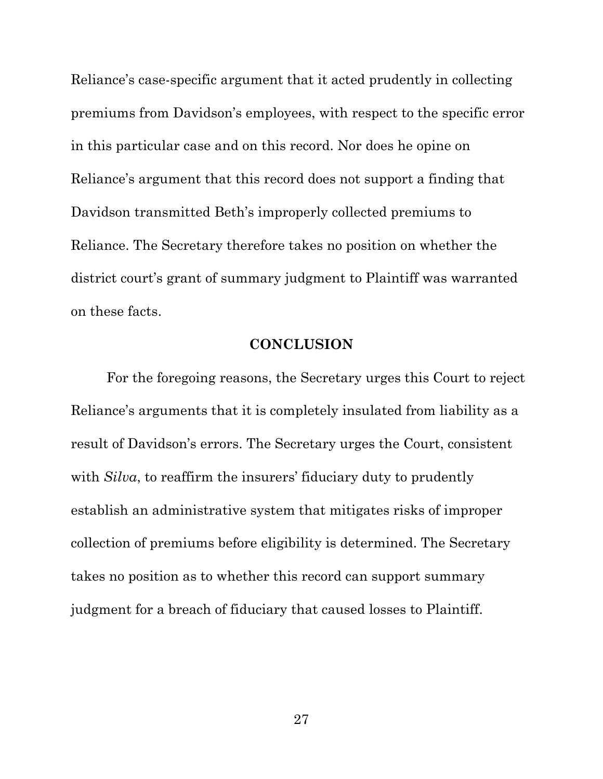Reliance's case-specific argument that it acted prudently in collecting premiums from Davidson's employees, with respect to the specific error in this particular case and on this record. Nor does he opine on Reliance's argument that this record does not support a finding that Davidson transmitted Beth's improperly collected premiums to Reliance. The Secretary therefore takes no position on whether the district court's grant of summary judgment to Plaintiff was warranted on these facts.

### **CONCLUSION**

For the foregoing reasons, the Secretary urges this Court to reject Reliance's arguments that it is completely insulated from liability as a result of Davidson's errors. The Secretary urges the Court, consistent with *Silva*, to reaffirm the insurers' fiduciary duty to prudently establish an administrative system that mitigates risks of improper collection of premiums before eligibility is determined. The Secretary takes no position as to whether this record can support summary judgment for a breach of fiduciary that caused losses to Plaintiff.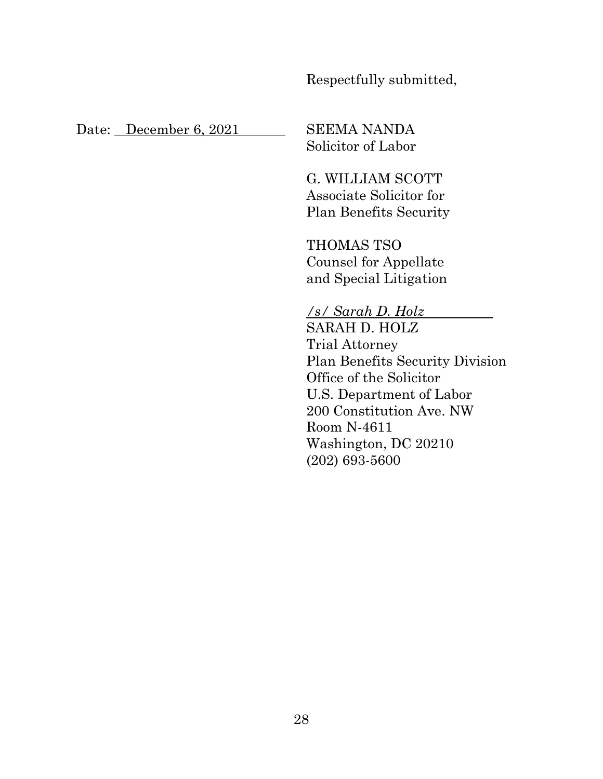Respectfully submitted,

Date: December 6, 2021 SEEMA NANDA

Solicitor of Labor

G. WILLIAM SCOTT Associate Solicitor for Plan Benefits Security

THOMAS TSO Counsel for Appellate and Special Litigation

*/s/ Sarah D. Holz* x SARAH D. HOLZ Trial Attorney Plan Benefits Security Division Office of the Solicitor U.S. Department of Labor 200 Constitution Ave. NW Room N-4611 Washington, DC 20210 (202) 693-5600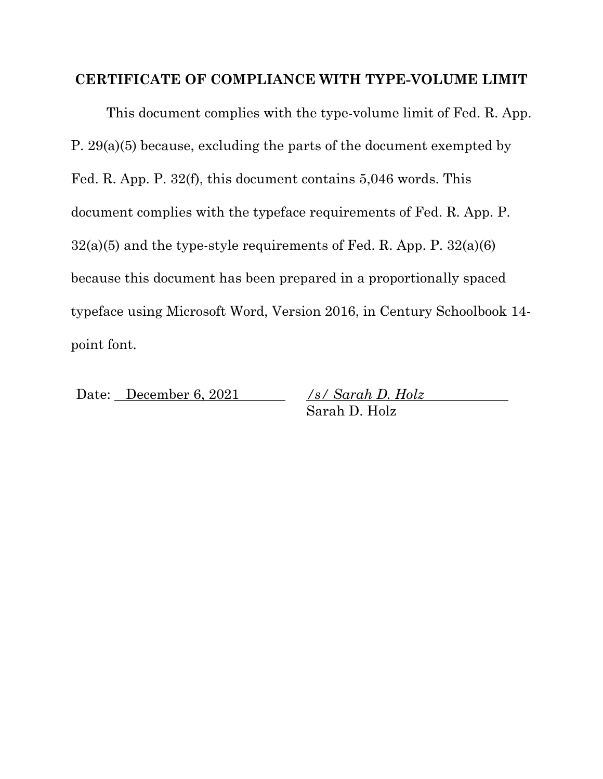### **CERTIFICATE OF COMPLIANCE WITH TYPE-VOLUME LIMIT**

 This document complies with the type-volume limit of Fed. R. App. P. 29(a)(5) because, excluding the parts of the document exempted by Fed. R. App. P. 32(f), this document contains 5,046 words. This document complies with the typeface requirements of Fed. R. App. P.  $32(a)(5)$  and the type-style requirements of Fed. R. App. P.  $32(a)(6)$ because this document has been prepared in a proportionally spaced typeface using Microsoft Word, Version 2016, in Century Schoolbook 14 point font.

Date: December 6, 2021 */s/ Sarah D. Holz* Sarah D. Holz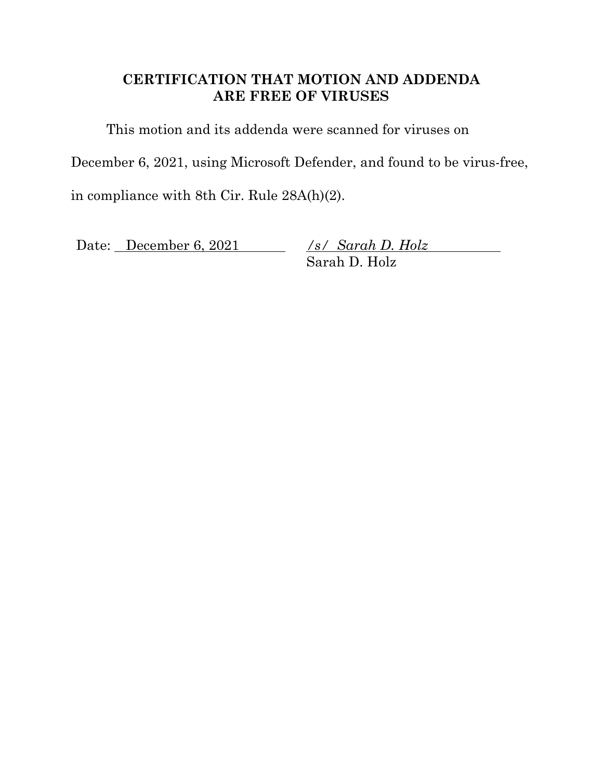## **CERTIFICATION THAT MOTION AND ADDENDA ARE FREE OF VIRUSES**

This motion and its addenda were scanned for viruses on

December 6, 2021, using Microsoft Defender, and found to be virus-free,

in compliance with 8th Cir. Rule 28A(h)(2).

Date: <u>December 6, 2021</u>

Sarah D. Holz